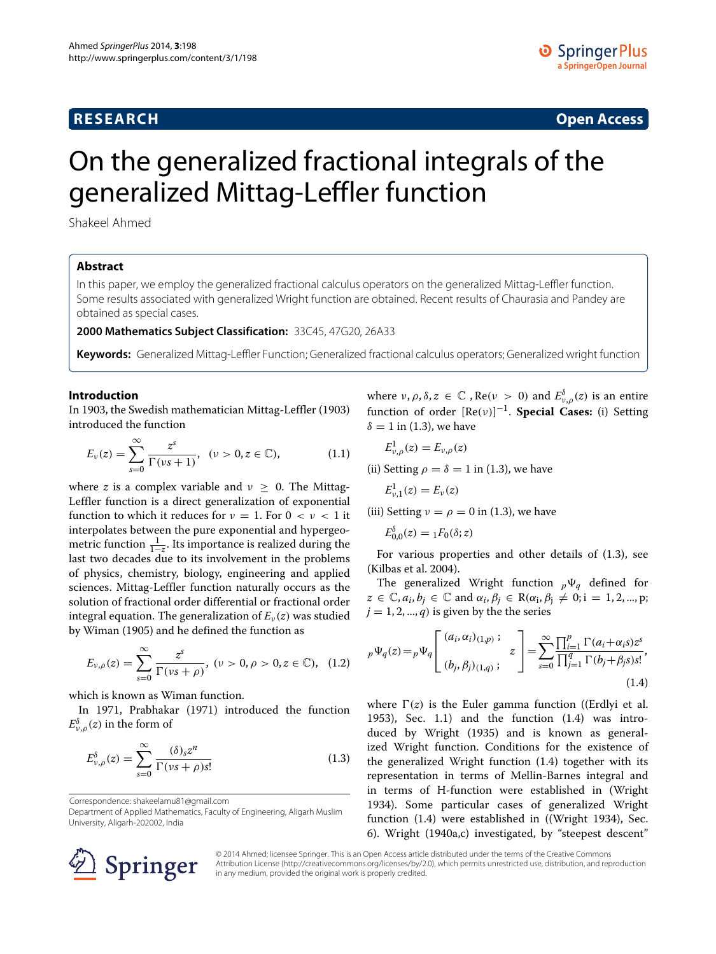# **RESEARCH Open Access**

# On the generalized fractional integrals of the generalized Mittag-Leffler function

Shakeel Ahmed

# **Abstract**

In this paper, we employ the generalized fractional calculus operators on the generalized Mittag-Leffler function. Some results associated with generalized Wright function are obtained. Recent results of Chaurasia and Pandey are obtained as special cases.

**2000 Mathematics Subject Classification:** 33C45, 47G20, 26A33

**Keywords:** Generalized Mittag-Leffler Function; Generalized fractional calculus operators; Generalized wright function

#### **Introduction**

In 1903, the Swedish mathematician Mittag-Leffler [\(1903\)](#page-4-0) introduced the function

<span id="page-0-2"></span>
$$
E_{\nu}(z) = \sum_{s=0}^{\infty} \frac{z^{s}}{\Gamma(\nu s + 1)}, \quad (\nu > 0, z \in \mathbb{C}), \tag{1.1}
$$

where *z* is a complex variable and  $\nu \geq 0$ . The Mittag-Leffler function is a direct generalization of exponential function to which it reduces for  $\nu = 1$ . For  $0 < \nu < 1$  it interpolates between the pure exponential and hypergeometric function  $\frac{1}{1-z}$ . Its importance is realized during the last two decades due to its involvement in the problems of physics, chemistry, biology, engineering and applied sciences. Mittag-Leffler function naturally occurs as the solution of fractional order differential or fractional order integral equation. The generalization of  $E_\nu(z)$  was studied by Wiman [\(1905\)](#page-4-1) and he defined the function as

$$
E_{\nu,\rho}(z) = \sum_{s=0}^{\infty} \frac{z^s}{\Gamma(\nu s + \rho)}, \; (\nu > 0, \rho > 0, z \in \mathbb{C}), \; (1.2)
$$

which is known as Wiman function.

In 1971, Prabhakar [\(1971\)](#page-4-2) introduced the function  $E^{\delta}_{\nu,\rho}(z)$  in the form of

<span id="page-0-0"></span>
$$
E_{\nu,\rho}^{\delta}(z) = \sum_{s=0}^{\infty} \frac{(\delta)_s z^n}{\Gamma(\nu s + \rho)s!}
$$
 (1.3)

Correspondence: [shakeelamu81@gmail.com](mailto:shakeelamu81@gmail.com)

Department of Applied Mathematics, Faculty of Engineering, Aligarh Muslim University, Aligarh-202002, India

where  $ν$ ,  $ρ$ ,  $δ$ ,  $z \in \mathbb{C}$  ,  $Re(ν > 0)$  and  $E_{ν,ρ}^{δ}(z)$  is an entire function of order [Re*(ν)*] <sup>−</sup>1. **Special Cases:** (i) Setting  $\delta = 1$  in [\(1.3\)](#page-0-0), we have

$$
E_{\nu,\rho}^1(z)=E_{\nu,\rho}(z)
$$

(ii) Setting  $\rho = \delta = 1$  in [\(1.3\)](#page-0-0), we have

$$
E_{\nu,1}^1(z) = E_{\nu}(z)
$$

(iii) Setting  $\nu = \rho = 0$  in [\(1.3\)](#page-0-0), we have

$$
E_{0,0}^{\delta}(z) = {}_1F_0(\delta; z)
$$

For various properties and other details of [\(1.3\)](#page-0-0), see (Kilbas et al. [2004\)](#page-4-3).

The generalized Wright function  $p\Psi_q$  defined for  $z \in \mathbb{C}, a_i, b_j \in \mathbb{C}$  and  $\alpha_i, \beta_j \in \mathbb{R}(\alpha_i, \beta_j \neq 0; i = 1, 2, ..., p;$  $j = 1, 2, ..., q$  is given by the the series

<span id="page-0-1"></span>
$$
{}_{p}\Psi_{q}(z) = {}_{p}\Psi_{q} \left[ \begin{array}{c} (a_{i}, \alpha_{i})_{(1,p)}; \\ (b_{j}, \beta_{j})_{(1,q)}; \end{array} z \right] = \sum_{s=0}^{\infty} \frac{\prod_{i=1}^{p} \Gamma(a_{i} + \alpha_{i}s) z^{s}}{\prod_{j=1}^{q} \Gamma(b_{j} + \beta_{j}s) s!}, \tag{1.4}
$$

where  $\Gamma(z)$  is the Euler gamma function ((Erdlyi et al. [1953\)](#page-3-0), Sec. 1.1) and the function [\(1.4\)](#page-0-1) was introduced by Wright [\(1935\)](#page-4-4) and is known as generalized Wright function. Conditions for the existence of the generalized Wright function [\(1.4\)](#page-0-1) together with its representation in terms of Mellin-Barnes integral and in terms of H-function were established in (Wright [1934\)](#page-4-5). Some particular cases of generalized Wright function [\(1.4\)](#page-0-1) were established in ((Wright [1934\)](#page-4-5), Sec. 6). Wright [\(1940a,](#page-4-6)c) investigated, by "steepest descent"



© 2014 Ahmed; licensee Springer. This is an Open Access article distributed under the terms of the Creative Commons Attribution License [\(http://creativecommons.org/licenses/by/2.0\)](http://creativecommons.org/licenses/by/2.0), which permits unrestricted use, distribution, and reproduction in any medium, provided the original work is properly credited.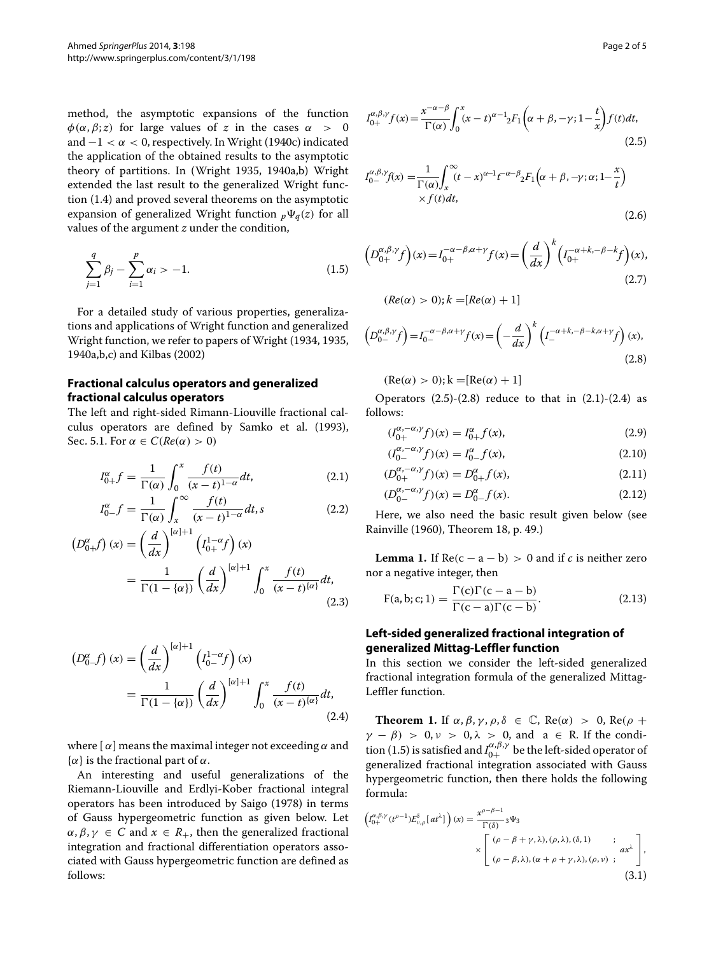method, the asymptotic expansions of the function *φ*( $α$ ,  $β$ ; *z*) for large values of *z* in the cases  $α$  > 0 and −1 *<α<* 0, respectively. In Wright [\(1940c\)](#page-4-7) indicated the application of the obtained results to the asymptotic theory of partitions. In (Wright [1935,](#page-4-4) [1940a,](#page-4-6)b) Wright extended the last result to the generalized Wright function [\(1.4\)](#page-0-1) and proved several theorems on the asymptotic expansion of generalized Wright function  $_p\Psi_q(z)$  for all values of the argument *z* under the condition,

$$
\sum_{j=1}^{q} \beta_j - \sum_{i=1}^{p} \alpha_i > -1.
$$
 (1.5)

For a detailed study of various properties, generalizations and applications of Wright function and generalized Wright function, we refer to papers of Wright [\(1934,](#page-4-5) [1935,](#page-4-4) [1940a,](#page-4-6)b,c) and Kilbas [\(2002\)](#page-4-8)

# **Fractional calculus operators and generalized fractional calculus operators**

The left and right-sided Rimann-Liouville fractional calculus operators are defined by Samko et al. [\(1993\)](#page-4-9), Sec. 5.1. For  $\alpha \in C(Re(\alpha) > 0)$ 

$$
I_{0+}^{\alpha}f = \frac{1}{\Gamma(\alpha)} \int_0^x \frac{f(t)}{(x-t)^{1-\alpha}} dt, \qquad (2.1)
$$

$$
I_{0-}^{\alpha}f = \frac{1}{\Gamma(\alpha)} \int_{x}^{\infty} \frac{f(t)}{(x-t)^{1-\alpha}} dt, s \qquad (2.2)
$$

$$
\left(D_{0+}^{\alpha}f\right)(x) = \left(\frac{d}{dx}\right)^{\left[\alpha\right]+1} \left(I_{0+}^{1-\alpha}f\right)(x)
$$

$$
= \frac{1}{\Gamma(1-\{\alpha\})} \left(\frac{d}{dx}\right)^{\left[\alpha\right]+1} \int_0^x \frac{f(t)}{(x-t)^{\left[\alpha\right]}} dt,
$$
(2.3)

$$
\left(D_{0-}^{\alpha}f\right)(x) = \left(\frac{d}{dx}\right)^{[\alpha]+1} \left(I_{0-}^{1-\alpha}f\right)(x)
$$

$$
= \frac{1}{\Gamma(1 - \{\alpha\})} \left(\frac{d}{dx}\right)^{[\alpha]+1} \int_{0}^{x} \frac{f(t)}{(x - t)^{[\alpha]}} dt,
$$
(2.4)

where  $\alpha$  means the maximal integer not exceeding  $\alpha$  and {*α*} is the fractional part of *α*.

An interesting and useful generalizations of the Riemann-Liouville and Erdlyi-Kober fractional integral operators has been introduced by Saigo [\(1978\)](#page-4-10) in terms of Gauss hypergeometric function as given below. Let  $\alpha, \beta, \gamma \in C$  and  $x \in R_+$ , then the generalized fractional integration and fractional differentiation operators associated with Gauss hypergeometric function are defined as follows:

$$
I_{0+}^{\alpha,\beta,\gamma}f(x) = \frac{x^{-\alpha-\beta}}{\Gamma(\alpha)} \int_0^x (x-t)^{\alpha-1} {}_2F_1\left(\alpha+\beta,-\gamma;1-\frac{t}{x}\right) f(t)dt,\tag{2.5}
$$

<span id="page-1-3"></span>
$$
I_{0-}^{\alpha,\beta,\gamma}f(x) = \frac{1}{\Gamma(\alpha)} \int_{x}^{\infty} (t - x)^{\alpha - 1} t^{-\alpha - \beta} {}_{2}F_{1}\left(\alpha + \beta, -\gamma; \alpha; 1 - \frac{x}{t}\right) \times f(t)dt,
$$
\n(2.6)

<span id="page-1-4"></span><span id="page-1-0"></span>
$$
\left(D_{0+}^{\alpha,\beta,\gamma}f\right)(x) = I_{0+}^{-\alpha-\beta,\alpha+\gamma}f(x) = \left(\frac{d}{dx}\right)^k \left(I_{0+}^{-\alpha+k,-\beta-k}f\right)(x),\tag{2.7}
$$

$$
(Re(\alpha) > 0); k = [Re(\alpha) + 1]
$$

<span id="page-1-1"></span>
$$
\left(D_{0-}^{\alpha,\beta,\gamma}f\right) = I_{0-}^{-\alpha-\beta,\alpha+\gamma}f(x) = \left(-\frac{d}{dx}\right)^k \left(I_{-}^{-\alpha+k,-\beta-k,\alpha+\gamma}f\right)(x),\tag{2.8}
$$

$$
(\text{Re}(\alpha) > 0); k = [\text{Re}(\alpha) + 1]
$$

Operators  $(2.5)-(2.8)$  $(2.5)-(2.8)$  $(2.5)-(2.8)$  reduce to that in  $(2.1)-(2.4)$  $(2.1)-(2.4)$  $(2.1)-(2.4)$  as follows:

$$
(I_{0+}^{\alpha,-\alpha,\gamma}f)(x) = I_{0+}^{\alpha}f(x),\tag{2.9}
$$

$$
(I_{0-}^{\alpha,-\alpha,\gamma}f)(x) = I_{0-}^{\alpha}f(x),
$$
\n(2.10)

$$
(D_{0+}^{\alpha,-\alpha,\gamma}f)(x) = D_{0+}^{\alpha}f(x), \qquad (2.11)
$$

$$
(D_{0-}^{\alpha,-\alpha,\gamma}f)(x) = D_{0-}^{\alpha}f(x).
$$
 (2.12)

Here, we also need the basic result given below (see Rainville [\(1960\)](#page-4-11), Theorem 18, p. 49.)

**Lemma 1.** If  $Re(c - a - b) > 0$  and if *c* is neither zero nor a negative integer, then

$$
F(a, b; c; 1) = \frac{\Gamma(c)\Gamma(c-a-b)}{\Gamma(c-a)\Gamma(c-b)}.
$$
\n(2.13)

#### **Left-sided generalized fractional integration of generalized Mittag-Leffler function**

In this section we consider the left-sided generalized fractional integration formula of the generalized Mittag-Leffler function.

<span id="page-1-2"></span>**Theorem 1.** If  $\alpha$ ,  $\beta$ ,  $\gamma$ ,  $\rho$ ,  $\delta \in \mathbb{C}$ , Re( $\alpha$ ) > 0, Re( $\rho$  + *γ* − *β) >* 0, *ν >* 0, *λ >* 0, and a ∈ R. If the condi-tion [\(1.5\)](#page-1-0) is satisfied and  $I_{0+}^{\alpha,\beta,\gamma}$  be the left-sided operator of generalized fractional integration associated with Gauss hypergeometric function, then there holds the following formula:

$$
\left(I_{0+}^{\alpha,\beta,\gamma}(t^{\rho-1})E_{\nu,\rho}^{\delta}[at^{\lambda}]\right)(x) = \frac{x^{\rho-\beta-1}}{\Gamma(\delta)}{}_3\Psi_3
$$

$$
\times \begin{bmatrix} (\rho-\beta+\gamma,\lambda),(\rho,\lambda),(\delta,1) & ; & \\ (\rho-\beta,\lambda),(\alpha+\rho+\gamma,\lambda),(\rho,\nu) & ; & \end{bmatrix},
$$
(3.1)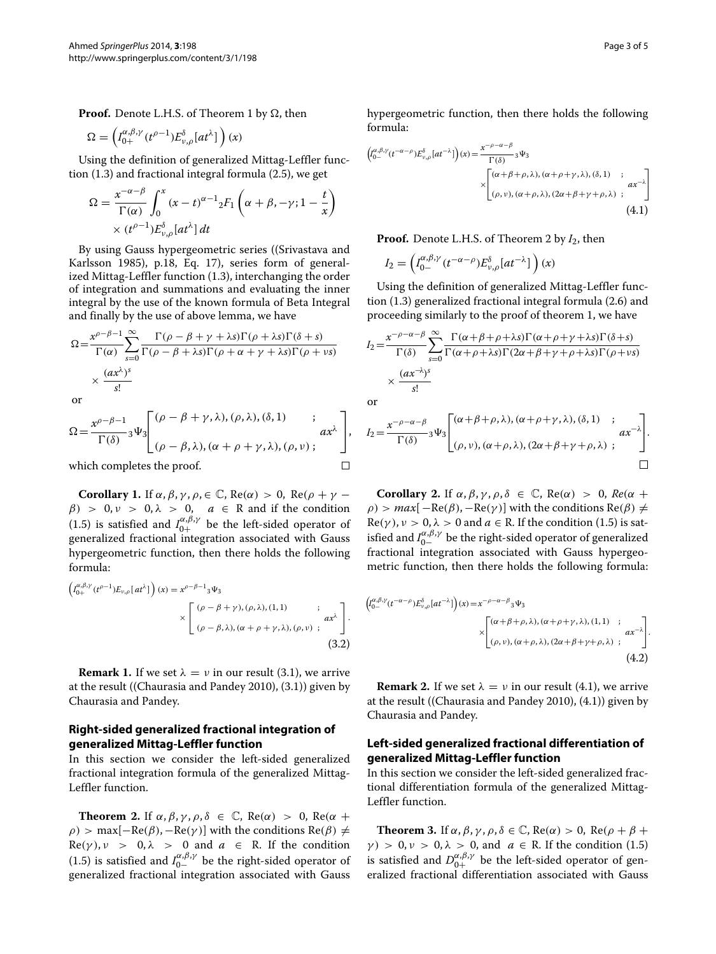**Proof.** Denote L.H.S. of Theorem [1](#page-1-2) by  $\Omega$ , then

$$
\Omega = \left( I_{0+}^{\alpha,\beta,\gamma} (t^{\rho-1}) E_{\nu,\rho}^{\delta} [at^{\lambda}] \right) (x)
$$

Using the definition of generalized Mittag-Leffler function [\(1.3\)](#page-0-0) and fractional integral formula [\(2.5\)](#page-1-0), we get

$$
\Omega = \frac{x^{-\alpha-\beta}}{\Gamma(\alpha)} \int_0^x (x-t)^{\alpha-1} {}_2F_1\left(\alpha+\beta, -\gamma; 1-\frac{t}{x}\right)
$$
  
 
$$
\times (t^{\rho-1}) E_{\nu,\rho}^{\delta}[at^{\lambda}] dt
$$

By using Gauss hypergeometric series ((Srivastava and Karlsson [1985\)](#page-4-12), p.18, Eq. 17), series form of generalized Mittag-Leffler function [\(1.3\)](#page-0-0), interchanging the order of integration and summations and evaluating the inner integral by the use of the known formula of Beta Integral and finally by the use of above lemma, we have

$$
\Omega = \frac{x^{\rho-\beta-1}}{\Gamma(\alpha)} \sum_{s=0}^{\infty} \frac{\Gamma(\rho-\beta+\gamma+\lambda s)\Gamma(\rho+\lambda s)\Gamma(\delta+s)}{\Gamma(\rho-\beta+\lambda s)\Gamma(\rho+\alpha+\gamma+\lambda s)\Gamma(\rho+\nu s)}
$$
  
 
$$
\times \frac{(ax^{\lambda})^s}{s!}
$$

or

$$
\Omega = \frac{x^{\rho-\beta-1}}{\Gamma(\delta)} {}_3\Psi_3 \left[ \begin{array}{cc} (\rho-\beta+\gamma,\lambda),(\rho,\lambda),(\delta,1) & ; & \\ (\rho-\beta,\lambda),(\alpha+\rho+\gamma,\lambda),(\rho,\nu) & ; \end{array} \right],
$$
  
which completes the proof.

which completes the proof.

**Corollary 1.** If  $\alpha$ ,  $\beta$ ,  $\gamma$ ,  $\rho$ ,  $\in \mathbb{C}$ , Re( $\alpha$ ) > 0, Re( $\rho$  +  $\gamma$  –  $\beta$  > 0, *v* > 0,  $\lambda$  > 0, *a*  $\in$  R and if the condition [\(1.5\)](#page-1-0) is satisfied and  $I_{0+}^{\alpha,\beta,\gamma}$  be the left-sided operator of generalized fractional integration associated with Gauss hypergeometric function, then there holds the following formula:

$$
\left(\begin{matrix} \frac{\alpha}{\beta+\gamma}(\ell^{\rho-1})E_{\nu,\rho}[at^{\lambda}] \end{matrix}\right)(x) = x^{\rho-\beta-1}3\Psi_3
$$
  
 
$$
\times \left[\begin{matrix} (\rho-\beta+\gamma),(\rho,\lambda),(1,1) & \vdots & \\ (\rho-\beta,\lambda),(\alpha+\rho+\gamma,\lambda),(\rho,\nu) & \vdots & \\ \end{matrix}\right].
$$
 (3.2)

**Remark 1.** If we set  $\lambda = \nu$  in our result [\(3.1\)](#page-0-2), we arrive at the result ((Chaurasia and Pandey [2010\)](#page-3-1), [\(3.1\)](#page-0-2)) given by Chaurasia and Pandey.

# **Right-sided generalized fractional integration of generalized Mittag-Leffler function**

In this section we consider the left-sided generalized fractional integration formula of the generalized Mittag-Leffler function.

<span id="page-2-0"></span>**Theorem 2.** If  $\alpha$ ,  $\beta$ ,  $\gamma$ ,  $\rho$ ,  $\delta \in \mathbb{C}$ , Re( $\alpha$ ) > 0, Re( $\alpha$  +  $\rho$ ) > max[-Re( $\beta$ ), -Re( $\gamma$ )] with the conditions Re( $\beta$ )  $\neq$  $Re(\gamma)$ ,  $\nu > 0$ ,  $\lambda > 0$  and  $a \in R$ . If the condition [\(1.5\)](#page-1-0) is satisfied and  $I_{0-}^{\alpha,\beta,\gamma}$  be the right-sided operator of generalized fractional integration associated with Gauss hypergeometric function, then there holds the following formula:

$$
\left( \int_{0-}^{\alpha,\beta,\gamma} (t^{-\alpha-\rho}) E^{\delta}_{\nu,\rho} \left[ at^{-\lambda} \right] \right) (x) = \frac{x^{-\rho-\alpha-\beta}}{\Gamma(\delta)} {}_{3} \Psi_{3}
$$

$$
\times \left[ \begin{array}{cc} (\alpha+\beta+\rho,\lambda), (\alpha+\rho+\gamma,\lambda), (\delta,1) & ; \\ (\rho,\nu), (\alpha+\rho,\lambda), (2\alpha+\beta+\gamma+\rho,\lambda) & ; \end{array} \right] (4.1)
$$

**Proof.** Denote L.H.S. of Theorem [2](#page-2-0) by *I*2, then

$$
I_2 = \left( I_{0-}^{\alpha,\beta,\gamma} (t^{-\alpha-\rho}) E_{\nu,\rho}^\delta [at^{-\lambda}] \right) (x)
$$

Using the definition of generalized Mittag-Leffler function [\(1.3\)](#page-0-0) generalized fractional integral formula [\(2.6\)](#page-1-3) and proceeding similarly to the proof of theorem [1,](#page-1-2) we have

$$
I_2 = \frac{x^{-\rho - \alpha - \beta}}{\Gamma(\delta)} \sum_{s=0}^{\infty} \frac{\Gamma(\alpha + \beta + \rho + \lambda s) \Gamma(\alpha + \rho + \gamma + \lambda s) \Gamma(\delta + s)}{\Gamma(\alpha + \rho + \lambda s) \Gamma(2\alpha + \beta + \gamma + \rho + \lambda s) \Gamma(\rho + \nu s)}
$$
  
  $\times \frac{(ax^{-\lambda})^s}{s!}$   
or

$$
\quad \text{or} \quad
$$

$$
I_2 = \frac{x^{-\rho-\alpha-\beta}}{\Gamma(\delta)} \cdot \Psi_3 \begin{bmatrix} (\alpha+\beta+\rho,\lambda), (\alpha+\rho+\gamma,\lambda), (\delta,1) & ; & \\ (\rho,\nu), (\alpha+\rho,\lambda), (2\alpha+\beta+\gamma+\rho,\lambda) & ; & \end{bmatrix}.
$$

**Corollary 2.** If  $\alpha$ ,  $\beta$ ,  $\gamma$ ,  $\rho$ ,  $\delta \in \mathbb{C}$ , Re( $\alpha$ ) > 0, Re( $\alpha$  +  $\rho$ ) > *max*[ $-Re(\beta)$ ,  $-Re(\gamma)$ ] with the conditions Re( $\beta$ )  $\neq$  $Re(\gamma)$ ,  $\nu > 0$ ,  $\lambda > 0$  and  $a \in \mathbb{R}$ . If the condition [\(1.5\)](#page-1-0) is satisfied and  $I_{0-}^{\alpha,\beta,\gamma}$  be the right-sided operator of generalized fractional integration associated with Gauss hypergeometric function, then there holds the following formula:

$$
\begin{aligned}\n\left( \int_{0-}^{\alpha,\beta,\gamma} (t^{-\alpha-\rho}) E_{\nu,\rho}^{\delta} \left[ a t^{-\lambda} \right] \right) (x) &= x^{-\rho-\alpha-\beta} {}_{3} \Psi_{3} \\
&\times \begin{bmatrix} (\alpha+\beta+\rho,\lambda), (\alpha+\rho+\gamma,\lambda), (1,1) & ; \\
(\rho,\nu), (\alpha+\rho,\lambda), (2\alpha+\beta+\gamma+\rho,\lambda) & ; \end{bmatrix} \cdot \begin{bmatrix} a x^{-\lambda} \\ (4.2) \end{bmatrix}\n\end{aligned}
$$

**Remark 2.** If we set  $\lambda = \nu$  in our result [\(4.1\)](#page-0-2), we arrive at the result ((Chaurasia and Pandey [2010\)](#page-3-1), [\(4.1\)](#page-0-2)) given by Chaurasia and Pandey.

### **Left-sided generalized fractional differentiation of generalized Mittag-Leffler function**

In this section we consider the left-sided generalized fractional differentiation formula of the generalized Mittag-Leffler function.

<span id="page-2-1"></span>**Theorem 3.** If  $\alpha$ ,  $\beta$ ,  $\gamma$ ,  $\rho$ ,  $\delta \in \mathbb{C}$ , Re( $\alpha$ ) > 0, Re( $\rho + \beta$  + *γ*) > 0, *ν* > 0, *λ* > 0, and *a* ∈ R. If the condition [\(1.5\)](#page-1-0) is satisfied and  $D_{0+}^{\alpha,\beta,\gamma}$  be the left-sided operator of generalized fractional differentiation associated with Gauss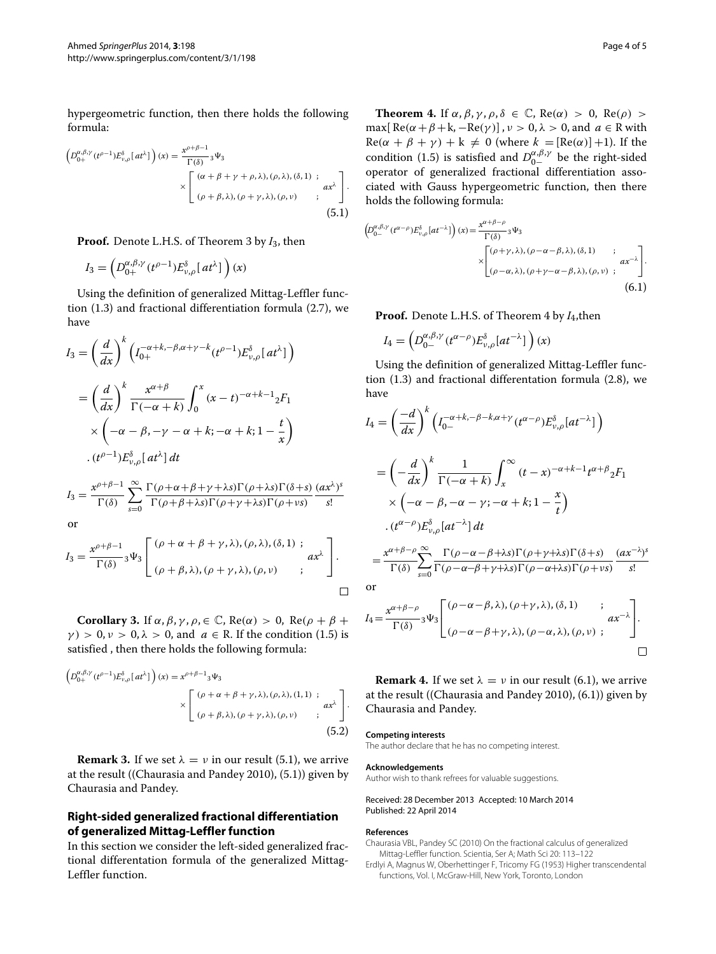hypergeometric function, then there holds the following formula:

$$
\left(D_{0+}^{\alpha,\beta,\gamma}(t^{\rho-1})E_{\nu,\rho}^{\delta}[at^{\lambda}]\right)(x) = \frac{x^{\rho+\beta-1}}{\Gamma(\delta)}{}_3\Psi_3
$$

$$
\times \left[\begin{array}{cc} (\alpha+\beta+\gamma+\rho,\lambda),(\rho,\lambda),(\delta,1) & ; & \\ (\rho+\beta,\lambda),(\rho+\gamma,\lambda),(\rho,\nu) & ; & \end{array}\right].
$$
(5.1)

**Proof.** Denote L.H.S. of Theorem [3](#page-2-1) by *I*3, then

$$
I_3 = \left( D_{0+}^{\alpha,\beta,\gamma} (t^{\rho-1}) E_{\nu,\rho}^\delta [a t^\lambda] \right) (x)
$$

Using the definition of generalized Mittag-Leffler function [\(1.3\)](#page-0-0) and fractional differentiation formula [\(2.7\)](#page-1-4), we have

$$
I_3 = \left(\frac{d}{dx}\right)^k \left(I_{0+}^{-\alpha+k,-\beta,\alpha+\gamma-k} (t^{\rho-1}) E_{\nu,\rho}^{\delta}[at^{\lambda}] \right)
$$
  

$$
= \left(\frac{d}{dx}\right)^k \frac{x^{\alpha+\beta}}{\Gamma(-\alpha+k)} \int_0^x (x-t)^{-\alpha+k-1} {}_2F_1
$$
  

$$
\times \left(-\alpha - \beta, -\gamma - \alpha + k; -\alpha + k; 1 - \frac{t}{x}\right)
$$
  

$$
\cdot (t^{\rho-1}) E_{\nu,\rho}^{\delta}[at^{\lambda}] dt
$$
  

$$
x^{\rho+\beta-1} \stackrel{\infty}{\sim} \Gamma(\alpha+\alpha+\beta+\gamma+k) \Gamma(\alpha+\beta)\Gamma(\beta+\gamma) d\alpha
$$

$$
I_3 = \frac{x^{\rho+\beta-1}}{\Gamma(\delta)} \sum_{s=0}^{\infty} \frac{\Gamma(\rho+\alpha+\beta+\gamma+\lambda s)\Gamma(\rho+\lambda s)\Gamma(\delta+s)}{\Gamma(\rho+\beta+\lambda s)\Gamma(\rho+\gamma+\lambda s)\Gamma(\rho+\nu s)} \frac{(ax^{\lambda})^s}{s!}
$$

or

$$
I_3 = \frac{x^{\rho+\beta-1}}{\Gamma(\delta)} {}_3\Psi_3 \left[ \begin{array}{c} (\rho+\alpha+\beta+\gamma,\lambda),(\rho,\lambda),(\delta,1) ; \\ (\rho+\beta,\lambda),(\rho+\gamma,\lambda),(\rho,\nu) ; \end{array} \right].
$$

**Corollary 3.** If  $\alpha$ ,  $\beta$ ,  $\gamma$ ,  $\rho$ ,  $\in \mathbb{C}$ , Re( $\alpha$ ) > 0, Re( $\rho + \beta$  +  $\gamma$ ) > 0,  $\nu$  > 0,  $\lambda$  > 0, and *a*  $\in$  R. If the condition [\(1.5\)](#page-1-0) is satisfied , then there holds the following formula:

$$
\left(D_{0+}^{\alpha,\beta,\gamma}(t^{\rho-1})E_{\nu,\rho}^{\delta}[at^{\lambda}]\right)(x) = x^{\rho+\beta-1}3\Psi_3
$$

$$
\times \left[\begin{array}{cc} (\rho+\alpha+\beta+\gamma,\lambda),(\rho,\lambda),(1,1) \end{array}; a x^{\lambda} \right].
$$

$$
\times \left[\begin{array}{cc} (\rho+\alpha+\beta+\gamma,\lambda),(\rho,\nu) \end{array}; a x^{\lambda} \right].
$$

$$
(5.2)
$$

**Remark 3.** If we set  $\lambda = \nu$  in our result [\(5.1\)](#page-0-2), we arrive at the result ((Chaurasia and Pandey [2010\)](#page-3-1), [\(5.1\)](#page-0-2)) given by Chaurasia and Pandey.

### **Right-sided generalized fractional differentiation of generalized Mittag-Leffler function**

In this section we consider the left-sided generalized fractional differentation formula of the generalized Mittag-Leffler function.

<span id="page-3-2"></span>**Theorem 4.** If  $\alpha$ ,  $\beta$ ,  $\gamma$ ,  $\rho$ ,  $\delta \in \mathbb{C}$ , Re( $\alpha$ ) > 0, Re( $\rho$ ) > max[ $Re(\alpha + \beta + k, -Re(\gamma))$ ],  $\nu > 0$ ,  $\lambda > 0$ , and  $a \in R$  with  $Re(\alpha + \beta + \gamma) + k \neq 0$  (where  $k = [Re(\alpha)] + 1$ ). If the condition [\(1.5\)](#page-1-0) is satisfied and  $D_{0-}^{\alpha,\beta,\gamma}$  be the right-sided operator of generalized fractional differentiation associated with Gauss hypergeometric function, then there holds the following formula:

$$
\left(D_{0-}^{\alpha,\beta,\gamma}(t^{\alpha-\rho})E_{\nu,\rho}^{\delta}[at^{-\lambda}]\right)(x) = \frac{x^{\alpha+\beta-\rho}}{\Gamma(\delta)}{}_3\Psi_3
$$

$$
\times \begin{bmatrix} (\rho+\gamma,\lambda),(\rho-\alpha-\beta,\lambda),(\delta,1) & ;\\ (\rho-\alpha,\lambda),(\rho+\gamma-\alpha-\beta,\lambda),(\rho,\nu) & ; \end{bmatrix} \cdot \frac{ax^{-\lambda}}{\Gamma(\delta)}.
$$
(6.1)

**Proof.** Denote L.H.S. of Theorem [4](#page-3-2) by *I*4,then

$$
I_4 = \left( D_{0-}^{\alpha,\beta,\gamma} (t^{\alpha-\rho}) E_{\nu,\rho}^{\delta} [at^{-\lambda}] \right) (x)
$$

Using the definition of generalized Mittag-Leffler function [\(1.3\)](#page-0-0) and fractional differentation formula [\(2.8\)](#page-1-1), we have

$$
I_{4} = \left(\frac{-d}{dx}\right)^{k} \left(I_{0-}^{-\alpha+k,-\beta-k,\alpha+\gamma} (t^{\alpha-\rho}) E_{\nu,\rho}^{\delta}[at^{-\lambda}] \right)
$$
  
\n
$$
= \left(-\frac{d}{dx}\right)^{k} \frac{1}{\Gamma(-\alpha+k)} \int_{x}^{\infty} (t-x)^{-\alpha+k-1} t^{\alpha+\beta} {}_{2}F_{1}
$$
  
\n
$$
\times \left(-\alpha-\beta, -\alpha-\gamma; -\alpha+k; 1-\frac{x}{t}\right)
$$
  
\n
$$
\cdot (t^{\alpha-\rho}) E_{\nu,\rho}^{\delta}[at^{-\lambda}] dt
$$
  
\n
$$
= \frac{x^{\alpha+\beta-\rho}}{\Gamma(\delta)} \sum_{s=0}^{\infty} \frac{\Gamma(\rho-\alpha-\beta+s)\Gamma(\rho+\gamma+s)\Gamma(\delta+s)}{\Gamma(\rho-\alpha+\beta+\gamma+s)\Gamma(\rho-\alpha+s)\Gamma(\rho+\nu s)} \frac{(ax^{-\lambda})^{s}}{s!}
$$
  
\nor

$$
I_4 = \frac{x^{\alpha+\beta-\rho}}{\Gamma(\delta)} {}_3\Psi_3 \left[ \begin{array}{cc} (\rho-\alpha-\beta,\lambda),(\rho+\gamma,\lambda),(\delta,1) & ; & \\ (\rho-\alpha-\beta+\gamma,\lambda),(\rho-\alpha,\lambda),(\rho,\nu) & ; \end{array} \right].
$$

**Remark 4.** If we set  $\lambda = \nu$  in our result [\(6.1\)](#page-0-2), we arrive at the result ((Chaurasia and Pandey [2010\)](#page-3-1), [\(6.1\)](#page-0-2)) given by Chaurasia and Pandey.

#### **Competing interests**

The author declare that he has no competing interest.

#### **Acknowledgements**

Author wish to thank refrees for valuable suggestions.

#### Received: 28 December 2013 Accepted: 10 March 2014 Published: 22 April 2014

#### **References**

- <span id="page-3-1"></span>Chaurasia VBL, Pandey SC (2010) On the fractional calculus of generalized Mittag-Leffler function. Scientia, Ser A; Math Sci 20: 113–122
- <span id="page-3-0"></span>Erdlyi A, Magnus W, Oberhettinger F, Tricomy FG (1953) Higher transcendental functions, Vol. I, McGraw-Hill, New York, Toronto, London